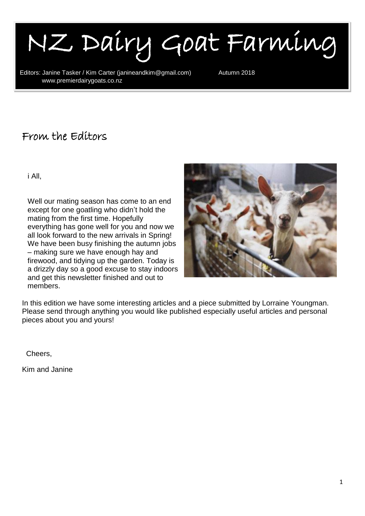I NZ Dairy Goat Farming

Editors: Janine Tasker / Kim Carter (janineandkim@gmail.com) Autumn 2018<br>www.premierdairvgoats.co.nz www.premierdairygoats.co.nz

#### From the Editors

i All,

۱

Well our mating season has come to an end except for one goatling who didn't hold the mating from the first time. Hopefully everything has gone well for you and now we all look forward to the new arrivals in Spring! We have been busy finishing the autumn jobs – making sure we have enough hay and firewood, and tidying up the garden. Today is a drizzly day so a good excuse to stay indoors and get this newsletter finished and out to members.



In this edition we have some interesting articles and a piece submitted by Lorraine Youngman. Please send through anything you would like published especially useful articles and personal pieces about you and yours!

Cheers,

Kim and Janine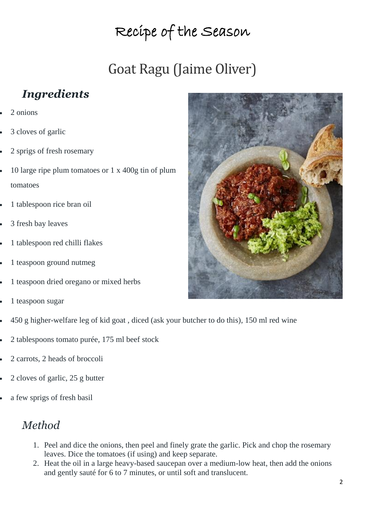# Recipe of the Season

# Goat Ragu (Jaime Oliver)

### *Ingredients*

- 2 onions
- 3 cloves of garlic
- 2 sprigs of fresh rosemary
- 10 large ripe plum tomatoes or 1 x 400g tin of plum tomatoes
- 1 tablespoon rice bran oil
- 3 fresh bay leaves
- 1 tablespoon red chilli flakes
- 1 teaspoon ground nutmeg
- 1 teaspoon dried oregano or mixed herbs
- 1 teaspoon sugar
- 450 g higher-welfare leg of kid goat , diced (ask your butcher to do this), 150 ml red wine
- 2 tablespoons tomato purée, 175 ml beef stock
- 2 carrots, 2 heads of broccoli
- 2 cloves of garlic, 25 g butter
- a few sprigs of fresh basil

#### *Method*

- 1. Peel and dice the onions, then peel and finely grate the garlic. Pick and chop the rosemary leaves. Dice the tomatoes (if using) and keep separate.
- 2. Heat the oil in a large heavy-based saucepan over a medium-low heat, then add the onions and gently sauté for 6 to 7 minutes, or until soft and translucent.

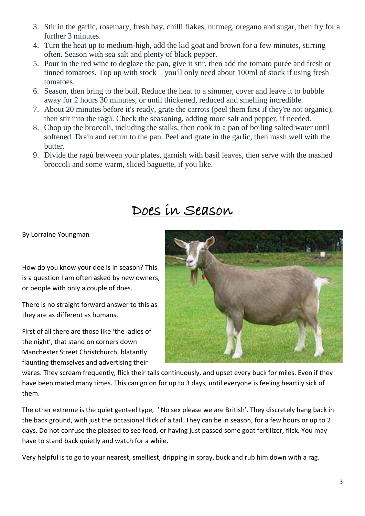- 3. Stir in the garlic, rosemary, fresh bay, chilli flakes, nutmeg, oregano and sugar, then fry for a further 3 minutes.
- 4. Turn the heat up to medium-high, add the kid goat and brown for a few minutes, stirring often. Season with sea salt and plenty of black pepper.
- 5. Pour in the red wine to deglaze the pan, give it stir, then add the tomato purée and fresh or tinned tomatoes. Top up with stock – you'll only need about 100ml of stock if using fresh tomatoes.
- 6. Season, then bring to the boil. Reduce the heat to a simmer, cover and leave it to bubble away for 2 hours 30 minutes, or until thickened, reduced and smelling incredible.
- 7. About 20 minutes before it's ready, grate the carrots (peel them first if they're not organic), then stir into the ragù. Check the seasoning, adding more salt and pepper, if needed.
- 8. Chop up the broccoli, including the stalks, then cook in a pan of boiling salted water until softened. Drain and return to the pan. Peel and grate in the garlic, then mash well with the butter.
- 9. Divide the ragù between your plates, garnish with basil leaves, then serve with the mashed broccoli and some warm, sliced baguette, if you like.

### Does in Season

By Lorraine Youngman

How do you know your doe is in season? This is a question I am often asked by new owners, or people with only a couple of does.

There is no straight forward answer to this as they are as different as humans.

First of all there are those like 'the ladies of the night', that stand on corners down Manchester Street Christchurch, blatantly flaunting themselves and advertising their



wares. They scream frequently, flick their tails continuously, and upset every buck for miles. Even if they have been mated many times. This can go on for up to 3 days, until everyone is feeling heartily sick of them.

The other extreme is the quiet genteel type, ' No sex please we are British'. They discretely hang back in the back ground, with just the occasional flick of a tail. They can be in season, for a few hours or up to 2 days. Do not confuse the pleased to see food, or having just passed some goat fertilizer, flick. You may have to stand back quietly and watch for a while.

Very helpful is to go to your nearest, smelliest, dripping in spray, buck and rub him down with a rag.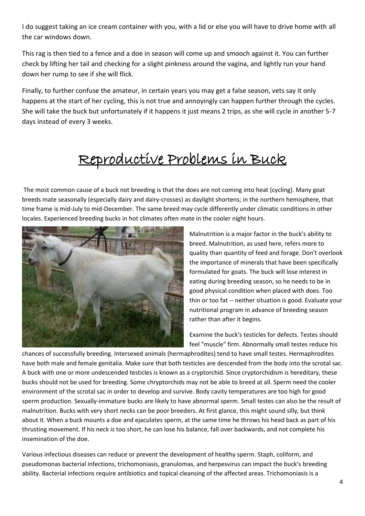I do suggest taking an ice cream container with you, with a lid or else you will have to drive home with all the car windows down.

This rag is then tied to a fence and a doe in season will come up and smooch against it. You can further check by lifting her tail and checking for a slight pinkness around the vagina, and lightly run your hand down her rump to see if she will flick.

Finally, to further confuse the amateur, in certain years you may get a false season, vets say it only happens at the start of her cycling, this is not true and annoyingly can happen further through the cycles. She will take the buck but unfortunately if it happens it just means 2 trips, as she will cycle in another 5-7 days instead of every 3 weeks.

# Reproductive Problems in Buck

The most common cause of a buck not breeding is that the does are not coming into heat (cycling). Many goat breeds mate seasonally (especially dairy and dairy-crosses) as daylight shortens; in the northern hemisphere, that time frame is mid-July to mid-December. The same breed may cycle differently under climatic conditions in other locales. Experienced breeding bucks in hot climates often mate in the cooler night hours.



Malnutrition is a major factor in the buck's ability to breed. Malnutrition, as used here, refers more to quality than quantity of feed and forage. Don't overlook the importance of minerals that have been specifically formulated for goats. The buck will lose interest in eating during breeding season, so he needs to be in good physical condition when placed with does. Too thin or too fat -- neither situation is good. Evaluate your nutritional program in advance of breeding season rather than after it begins.

Examine the buck's testicles for defects. Testes should feel "muscle" firm. Abnormally small testes reduce his

chances of successfully breeding. Intersexed animals (hermaphrodites) tend to have small testes. Hermaphrodites have both male and female genitalia. Make sure that both testicles are descended from the body into the scrotal sac. A buck with one or more undescended testicles is known as a cryptorchid. Since cryptorchidism is hereditary, these bucks should not be used for breeding. Some chryptorchids may not be able to breed at all. Sperm need the cooler environment of the scrotal sac in order to develop and survive. Body cavity temperatures are too high for good sperm production. Sexually-immature bucks are likely to have abnormal sperm. Small testes can also be the result of malnutrition. Bucks with very short necks can be poor breeders. At first glance, this might sound silly, but think about it. When a buck mounts a doe and ejaculates sperm, at the same time he throws his head back as part of his thrusting movement. If his neck is too short, he can lose his balance, fall over backwards, and not complete his insemination of the doe.

Various infectious diseases can reduce or prevent the development of healthy sperm. Staph, coliform, and pseudomonas bacterial infections, trichomoniasis, granulomas, and herpesvirus can impact the buck's breeding ability. Bacterial infections require antibiotics and topical cleansing of the affected areas. Trichomoniasis is a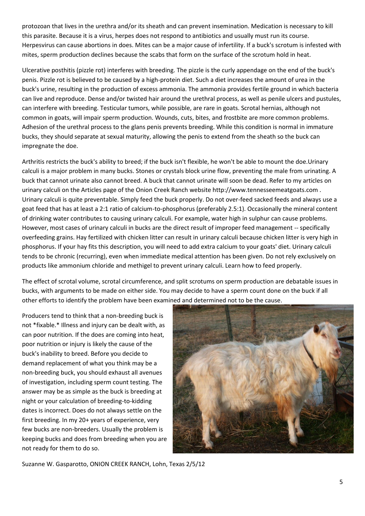protozoan that lives in the urethra and/or its sheath and can prevent insemination. Medication is necessary to kill this parasite. Because it is a virus, herpes does not respond to antibiotics and usually must run its course. Herpesvirus can cause abortions in does. Mites can be a major cause of infertility. If a buck's scrotum is infested with mites, sperm production declines because the scabs that form on the surface of the scrotum hold in heat.

Ulcerative posthitis (pizzle rot) interferes with breeding. The pizzle is the curly appendage on the end of the buck's penis. Pizzle rot is believed to be caused by a high-protein diet. Such a diet increases the amount of urea in the buck's urine, resulting in the production of excess ammonia. The ammonia provides fertile ground in which bacteria can live and reproduce. Dense and/or twisted hair around the urethral process, as well as penile ulcers and pustules, can interfere with breeding. Testicular tumors, while possible, are rare in goats. Scrotal hernias, although not common in goats, will impair sperm production. Wounds, cuts, bites, and frostbite are more common problems. Adhesion of the urethral process to the glans penis prevents breeding. While this condition is normal in immature bucks, they should separate at sexual maturity, allowing the penis to extend from the sheath so the buck can impregnate the doe.

Arthritis restricts the buck's ability to breed; if the buck isn't flexible, he won't be able to mount the doe.Urinary calculi is a major problem in many bucks. Stones or crystals block urine flow, preventing the male from urinating. A buck that cannot urinate also cannot breed. A buck that cannot urinate will soon be dead. Refer to my articles on urinary calculi on the Articles page of the Onion Creek Ranch website http://www.tennesseemeatgoats.com . Urinary calculi is quite preventable. Simply feed the buck properly. Do not over-feed sacked feeds and always use a goat feed that has at least a 2:1 ratio of calcium-to-phosphorus (preferably 2.5:1). Occasionally the mineral content of drinking water contributes to causing urinary calculi. For example, water high in sulphur can cause problems. However, most cases of urinary calculi in bucks are the direct result of improper feed management -- specifically overfeeding grains. Hay fertilized with chicken litter can result in urinary calculi because chicken litter is very high in phosphorus. If your hay fits this description, you will need to add extra calcium to your goats' diet. Urinary calculi tends to be chronic (recurring), even when immediate medical attention has been given. Do not rely exclusively on products like ammonium chloride and methigel to prevent urinary calculi. Learn how to feed properly.

The effect of scrotal volume, scrotal circumference, and split scrotums on sperm production are debatable issues in bucks, with arguments to be made on either side. You may decide to have a sperm count done on the buck if all other efforts to identify the problem have been examined and determined not to be the cause.

Producers tend to think that a non-breeding buck is not \*fixable.\* Illness and injury can be dealt with, as can poor nutrition. If the does are coming into heat, poor nutrition or injury is likely the cause of the buck's inability to breed. Before you decide to demand replacement of what you think may be a non-breeding buck, you should exhaust all avenues of investigation, including sperm count testing. The answer may be as simple as the buck is breeding at night or your calculation of breeding-to-kidding dates is incorrect. Does do not always settle on the first breeding. In my 20+ years of experience, very few bucks are non-breeders. Usually the problem is keeping bucks and does from breeding when you are not ready for them to do so.



Suzanne W. Gasparotto, ONION CREEK RANCH, Lohn, Texas 2/5/12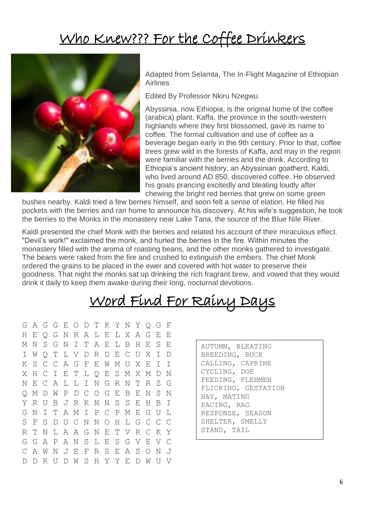## Who Knew??? For the Coffee Drinkers



Adapted from Selamta, The In-Flight Magazine of Ethiopian Airlines

Edited By Professor Nkiru Nzegwu

Abyssinia, now Ethiopia, is the original home of the coffee (arabica) plant. Kaffa, the province in the south-western highlands where they first blossomed, gave its name to coffee. The formal cultivation and use of coffee as a beverage began early in the 9th century. Prior to that, coffee trees grew wild in the forests of Kaffa, and may in the region were familiar with the berries and the drink. According to Ethiopia's ancient history, an Abyssinian goatherd, Kaldi, who lived around AD 850, discovered coffee. He observed his goats prancing excitedly and bleating loudly after chewing the bright red berries that grew on some green

bushes nearby. Kaldi tried a few berries himself, and soon felt a sense of elation. He filled his pockets with the berries and ran home to announce his discovery. At his wife's suggestion, he took the berries to the Monks in the monastery near Lake Tana, the source of the Blue Nile River.

Kaldi presented the chief Monk with the berries and related his account of their miraculous effect. "Devil's work!" exclaimed the monk, and hurled the berries in the fire. Within minutes the monastery filled with the aroma of roasting beans, and the other monks gathered to investigate. The beans were raked from the fire and crushed to extinguish the embers. The chief Monk ordered the grains to be placed in the ewer and covered with hot water to preserve their goodness. That night the monks sat up drinking the rich fragrant brew, and vowed that they would drink it daily to keep them awake during their long, nocturnal devotions.

# Word Find For Rainy Days

G A G G E O D T K Y N Y Q G F H E Q G N R A L E L X A G E E M N S G N I T A E L B H E S E I W Q T L V D R D E C U X I D K S C C A G F E W M U X E I I X H C I E T L Q E S M X M D N N E C A L L I N G R N T R Z G Q M D W P D C O G E B E N S N Y R U B J R K N N S S E H B I G N I T A M I P C P M E G U L S F S D U C N N O H L G C C C R T N L A A G N E T V R C K Y G G A P A N S L E S G V E V C C A W N J E F R S E A S O N J D D R U D W S H Y Y E D W U V

| AUTUMN, BLEATING    |
|---------------------|
| BREEDING, BUCK      |
| CALLING, CAPRINE    |
| CYCLING, DOE        |
| FEEDING, FLEHMEN    |
| FLICKING, GESTATION |
| HAY, MATING         |
| PACING, RAG         |
| RESPONSE, SEASON    |
| SHELTER, SMELLY     |
| STAND, TAIL         |
|                     |